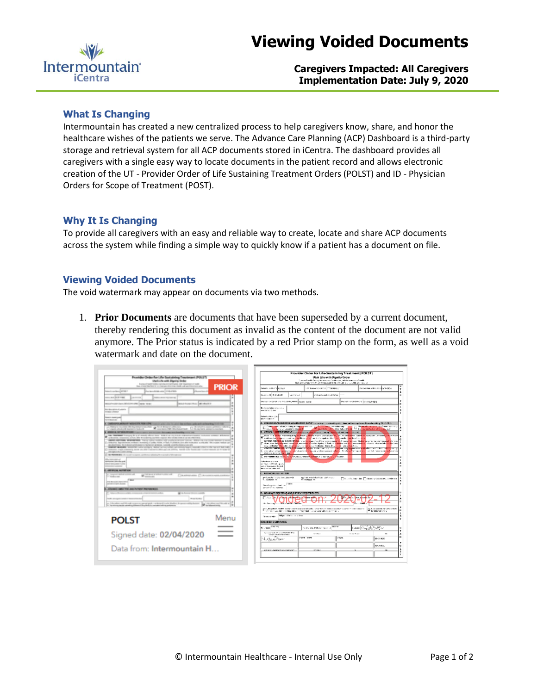

## **Caregivers Impacted: All Caregivers Implementation Date: July 9, 2020**

### **What Is Changing**

Intermountain has created a new centralized process to help caregivers know, share, and honor the healthcare wishes of the patients we serve. The Advance Care Planning (ACP) Dashboard is a third-party storage and retrieval system for all ACP documents stored in iCentra. The dashboard provides all caregivers with a single easy way to locate documents in the patient record and allows electronic creation of the UT - Provider Order of Life Sustaining Treatment Orders (POLST) and ID - Physician Orders for Scope of Treatment (POST).

### **Why It Is Changing**

To provide all caregivers with an easy and reliable way to create, locate and share ACP documents across the system while finding a simple way to quickly know if a patient has a document on file.

#### **Viewing Voided Documents**

The void watermark may appear on documents via two methods.

1. **Prior Documents** are documents that have been superseded by a current document, thereby rendering this document as invalid as the content of the document are not valid anymore. The Prior status is indicated by a red Prior stamp on the form, as well as a void watermark and date on the document.

| Provider Online for Life Sentaining Treatment (POLST)                       |                                                                                                                                                                                                                                                                                                                          | Provider Order for Life-Sustaining Treatment (POLST)<br>Utah Life with Dignite Order<br>result of the difference into a state and Conditions on the Consequence of the dif-<br>Sale of Con Gile CTC 17 of 19 decay 2018 Stockholm and good Montenant on |                                        |                                                                |                                                                   |                                                                                                                                                                                                                                |              |                                                                                                                                                                                                                                     |
|-----------------------------------------------------------------------------|--------------------------------------------------------------------------------------------------------------------------------------------------------------------------------------------------------------------------------------------------------------------------------------------------------------------------|---------------------------------------------------------------------------------------------------------------------------------------------------------------------------------------------------------------------------------------------------------|----------------------------------------|----------------------------------------------------------------|-------------------------------------------------------------------|--------------------------------------------------------------------------------------------------------------------------------------------------------------------------------------------------------------------------------|--------------|-------------------------------------------------------------------------------------------------------------------------------------------------------------------------------------------------------------------------------------|
| <b><i><u>Industrial</u></i></b>                                             | harmond meeting company and periodical training enveloped and<br>then either Ale Anti-to compared about your Analysis and approximations play<br>the days of the sales of the same field.                                                                                                                                |                                                                                                                                                                                                                                                         | <b>PRIOR</b>                           | <b>Patients and North Rachards</b>                             |                                                                   | of themselves are not between their                                                                                                                                                                                            |              | NON-MAIN PHONE CONSIGN                                                                                                                                                                                                              |
|                                                                             |                                                                                                                                                                                                                                                                                                                          |                                                                                                                                                                                                                                                         |                                        | <b>DESCRIPTION</b>                                             | and for such                                                      | Access in a well-challenging.                                                                                                                                                                                                  | 1            |                                                                                                                                                                                                                                     |
| actual foot come                                                            | Although you chan with the                                                                                                                                                                                                                                                                                               |                                                                                                                                                                                                                                                         |                                        |                                                                | Metal-Schrift-1-A.V. ARANTH year, sale                            |                                                                                                                                                                                                                                |              | Medical medium find to Thrust Multiple                                                                                                                                                                                              |
| mous broadsrokers AB-41000 AWA Creater desig-                               |                                                                                                                                                                                                                                                                                                                          | and at foreign Alexander and the first                                                                                                                                                                                                                  |                                        |                                                                |                                                                   |                                                                                                                                                                                                                                |              |                                                                                                                                                                                                                                     |
| <b>Boy Brenderer &amp; potential</b><br><b>CONTROL CONTROL</b>              |                                                                                                                                                                                                                                                                                                                          |                                                                                                                                                                                                                                                         |                                        | Bridgese bike of paint of<br>excitation document               |                                                                   |                                                                                                                                                                                                                                |              |                                                                                                                                                                                                                                     |
|                                                                             |                                                                                                                                                                                                                                                                                                                          |                                                                                                                                                                                                                                                         |                                        | Palaet - Adaptate                                              |                                                                   |                                                                                                                                                                                                                                |              |                                                                                                                                                                                                                                     |
| <b>COMMAND</b>                                                              |                                                                                                                                                                                                                                                                                                                          |                                                                                                                                                                                                                                                         |                                        | been clied and                                                 |                                                                   |                                                                                                                                                                                                                                |              |                                                                                                                                                                                                                                     |
| CARDINAL MONAR, Miller, 49 and 1979.                                        | Send Breaster and Chinese                                                                                                                                                                                                                                                                                                | colours acknowledge to paint that antique a side and call colourship in 1972 top                                                                                                                                                                        |                                        |                                                                |                                                                   | the contract of the form in the second contract of the contract of the March March March 2014.                                                                                                                                 |              | A. CREDIOFUL VONARY RESUSCITATION ICPRI Trainership in metalingation was not have applicated benchmatting ThickChite<br>and the marketing company of the concerns-                                                                  |
| and a statement in the technical<br><b>ANGELES ALL AN WALLET AND AND IN</b> | w<br>----                                                                                                                                                                                                                                                                                                                | services the characteristic                                                                                                                                                                                                                             | ted the day hards adverse to move have |                                                                |                                                                   | S. URSCAL MINWARTOM INFORMATION INTERFERING ALAM ARMAMENT DATE:                                                                                                                                                                |              | Windows of Constructional - the construction of the con-                                                                                                                                                                            |
|                                                                             | No. 1980 Ball Transact R. L. J. (1993). (Row-hase. Trailer-as and have and accounts manager and paintings defined                                                                                                                                                                                                        |                                                                                                                                                                                                                                                         |                                        |                                                                |                                                                   |                                                                                                                                                                                                                                |              | e 1994 de la companya de la provincia de la comunicación de la comunicación de la constanta contra en el comun<br>El comunicación de la comunicación de la comunicación de la comunicación de la comunicación de la comunicación    |
|                                                                             | which contact after the fundament than the share and a substrate<br>served securities. When serves their group and a solicity of a subject to contract their contract contract of a series<br>and only the process or deals, survive a classic term or had it problems are also explores to related the super-matter and |                                                                                                                                                                                                                                                         |                                        |                                                                |                                                                   |                                                                                                                                                                                                                                |              | . LE TEL ARCHITANA, BELGETTANA I LE PRODUCTION DE L'ARCHITANA DE L'ARCHITANA I LE PRODUCTION DE L'ARCHITANA E<br>El deux mondiagnatiques arrives parents et existences à table à quando solare production a relative advantation    |
|                                                                             | BURGHTEN, N. P. BALLY, JOHN MILLY, MUNICIPAL SERVICE, SAVING LOWER PRINTED ON 1879.<br>present another security and all have determined and another hands there is the control and the                                                                                                                                   |                                                                                                                                                                                                                                                         |                                        |                                                                |                                                                   | that believe Mr. dentise indicated as a part of contains density a superior of the Uni-                                                                                                                                        |              |                                                                                                                                                                                                                                     |
| the same will come service                                                  | company many constructs and any other company offers and constructed and with facility and company company to the                                                                                                                                                                                                        |                                                                                                                                                                                                                                                         |                                        |                                                                |                                                                   |                                                                                                                                                                                                                                |              | control to the strike of seven whether held can be asset added to the strike day and the strike and the strike<br>El escalo: consultado el ser a el consulta el escaladore de la escalada de la escalada de construiren a el escala |
|                                                                             | 1. All MARIE AT a formula in agent a philosophistic in a speed to blood out                                                                                                                                                                                                                                              |                                                                                                                                                                                                                                                         |                                        | <b>INVESTIGATION CONTINUES</b>                                 |                                                                   | E. MOVIMUNA Louis of the events coloured and in Canada in Council                                                                                                                                                              |              |                                                                                                                                                                                                                                     |
|                                                                             |                                                                                                                                                                                                                                                                                                                          |                                                                                                                                                                                                                                                         |                                        |                                                                |                                                                   |                                                                                                                                                                                                                                |              |                                                                                                                                                                                                                                     |
| teriors can also go in<br>and see case in the                               |                                                                                                                                                                                                                                                                                                                          |                                                                                                                                                                                                                                                         |                                        | <b>Chairm acts</b><br>al-flat collective al-                   |                                                                   |                                                                                                                                                                                                                                |              |                                                                                                                                                                                                                                     |
| <b>Contract Contract Contract</b>                                           |                                                                                                                                                                                                                                                                                                                          |                                                                                                                                                                                                                                                         |                                        | time), or brane passent at a brad<br>have a contract they will |                                                                   |                                                                                                                                                                                                                                |              |                                                                                                                                                                                                                                     |
| ANTIFICIAL MUTTER CAR<br>terminal della scripto                             |                                                                                                                                                                                                                                                                                                                          |                                                                                                                                                                                                                                                         |                                        | <b>C. RETIRGELISHED CALL</b>                                   |                                                                   |                                                                                                                                                                                                                                |              |                                                                                                                                                                                                                                     |
| <b>Charles and</b>                                                          | <b>Manager State College Ad</b>                                                                                                                                                                                                                                                                                          | The extracturers. (The construction cards)                                                                                                                                                                                                              |                                        | Electrical States (Secret)                                     |                                                                   | To instructed shell deliver with a set.<br>We have not to:                                                                                                                                                                     |              | The chains the Thion statement and con-                                                                                                                                                                                             |
| <b>THE REAL PROPERTY</b>                                                    |                                                                                                                                                                                                                                                                                                                          |                                                                                                                                                                                                                                                         |                                        |                                                                |                                                                   |                                                                                                                                                                                                                                |              |                                                                                                                                                                                                                                     |
| and the control of the con-                                                 |                                                                                                                                                                                                                                                                                                                          |                                                                                                                                                                                                                                                         |                                        | Development on Line 1980<br>09/08/17/18 -4:04000               |                                                                   |                                                                                                                                                                                                                                |              |                                                                                                                                                                                                                                     |
| L. Allingwork states with analyticity of the resume and                     |                                                                                                                                                                                                                                                                                                                          |                                                                                                                                                                                                                                                         |                                        |                                                                |                                                                   |                                                                                                                                                                                                                                |              |                                                                                                                                                                                                                                     |
| the control of the control of the con-                                      |                                                                                                                                                                                                                                                                                                                          | ga an Assessor Column regionis                                                                                                                                                                                                                          |                                        |                                                                | <b>D. ADVIANCE DIRECTIVE AND PATIEN TIME FER DIRECTS</b>          |                                                                                                                                                                                                                                |              |                                                                                                                                                                                                                                     |
| <b>Total acceptiveness of the control of the control of the </b>            |                                                                                                                                                                                                                                                                                                                          | <b>Business</b>                                                                                                                                                                                                                                         |                                        |                                                                | <b>IT Also As Authority of the officer of the settle</b>          |                                                                                                                                                                                                                                |              | <b>De la construcción de la construcción</b>                                                                                                                                                                                        |
|                                                                             | and the plans and the red is an excess product to the red to the distinct designer reddy better.<br>A recommendation of the plans of a plant of the control of the plant                                                                                                                                                 |                                                                                                                                                                                                                                                         | also disco con litto addition          |                                                                | Her harring through to serve the anti-                            |                                                                                                                                                                                                                                |              |                                                                                                                                                                                                                                     |
|                                                                             |                                                                                                                                                                                                                                                                                                                          |                                                                                                                                                                                                                                                         |                                        |                                                                |                                                                   | The Utilis putting small the safety to survey the concretionals. Here a three income students the part of the concerning of the concerning of the concerning of the concerning of the concerning of the concerning of the conc |              | <b>Constitution of the Seconds</b><br>by believed a deal.                                                                                                                                                                           |
|                                                                             |                                                                                                                                                                                                                                                                                                                          |                                                                                                                                                                                                                                                         | Menu                                   | Discussion and the                                             | Helper of letter or a time.                                       |                                                                                                                                                                                                                                |              |                                                                                                                                                                                                                                     |
| <b>POLST</b>                                                                |                                                                                                                                                                                                                                                                                                                          |                                                                                                                                                                                                                                                         |                                        | ROOU FED SIGNATURES                                            |                                                                   |                                                                                                                                                                                                                                |              |                                                                                                                                                                                                                                     |
|                                                                             |                                                                                                                                                                                                                                                                                                                          |                                                                                                                                                                                                                                                         |                                        | <b>STATIST</b><br>Pri - Lann                                   |                                                                   | Souther show brothered in a car of                                                                                                                                                                                             |              | المكافئ والواسط المتعاد                                                                                                                                                                                                             |
|                                                                             |                                                                                                                                                                                                                                                                                                                          |                                                                                                                                                                                                                                                         |                                        |                                                                | Service Advertising Market Print<br><b>MARK COMPANY OF A 1979</b> | <b>CONTRACT</b>                                                                                                                                                                                                                |              | <b>Line Sons</b><br>11.                                                                                                                                                                                                             |
|                                                                             | Signed date: 02/04/2020                                                                                                                                                                                                                                                                                                  |                                                                                                                                                                                                                                                         |                                        |                                                                |                                                                   | <b>FEED SHOW</b>                                                                                                                                                                                                               | <b>COUNT</b> | bo et oce                                                                                                                                                                                                                           |
|                                                                             |                                                                                                                                                                                                                                                                                                                          |                                                                                                                                                                                                                                                         |                                        | <b>Haranto</b>                                                 |                                                                   |                                                                                                                                                                                                                                |              |                                                                                                                                                                                                                                     |
|                                                                             |                                                                                                                                                                                                                                                                                                                          |                                                                                                                                                                                                                                                         |                                        |                                                                |                                                                   |                                                                                                                                                                                                                                |              | <b>MALANDYA</b>                                                                                                                                                                                                                     |
|                                                                             |                                                                                                                                                                                                                                                                                                                          |                                                                                                                                                                                                                                                         |                                        |                                                                |                                                                   |                                                                                                                                                                                                                                |              |                                                                                                                                                                                                                                     |
|                                                                             | Data from: Intermountain H                                                                                                                                                                                                                                                                                               |                                                                                                                                                                                                                                                         |                                        |                                                                | A 50 YO F REPORTED HIS STATE AT                                   | <b>CONTRACT</b>                                                                                                                                                                                                                |              |                                                                                                                                                                                                                                     |